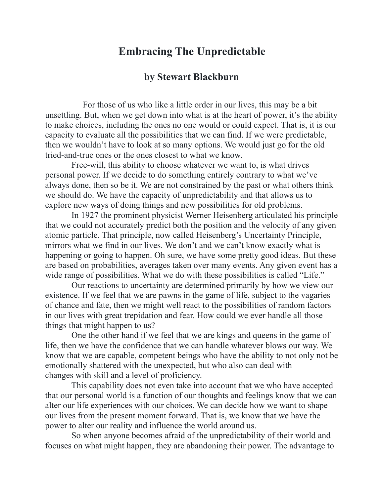## **Embracing The Unpredictable**

## **by Stewart Blackburn**

 For those of us who like a little order in our lives, this may be a bit unsettling. But, when we get down into what is at the heart of power, it's the ability to make choices, including the ones no one would or could expect. That is, it is our capacity to evaluate all the possibilities that we can find. If we were predictable, then we wouldn't have to look at so many options. We would just go for the old tried-and-true ones or the ones closest to what we know.

 Free-will, this ability to choose whatever we want to, is what drives personal power. If we decide to do something entirely contrary to what we've always done, then so be it. We are not constrained by the past or what others think we should do. We have the capacity of unpredictability and that allows us to explore new ways of doing things and new possibilities for old problems.

 In 1927 the prominent physicist Werner Heisenberg articulated his principle that we could not accurately predict both the position and the velocity of any given atomic particle. That principle, now called Heisenberg's Uncertainty Principle, mirrors what we find in our lives. We don't and we can't know exactly what is happening or going to happen. Oh sure, we have some pretty good ideas. But these are based on probabilities, averages taken over many events. Any given event has a wide range of possibilities. What we do with these possibilities is called "Life."

 Our reactions to uncertainty are determined primarily by how we view our existence. If we feel that we are pawns in the game of life, subject to the vagaries of chance and fate, then we might well react to the possibilities of random factors in our lives with great trepidation and fear. How could we ever handle all those things that might happen to us?

 One the other hand if we feel that we are kings and queens in the game of life, then we have the confidence that we can handle whatever blows our way. We know that we are capable, competent beings who have the ability to not only not be emotionally shattered with the unexpected, but who also can deal with changes with skill and a level of proficiency.

 This capability does not even take into account that we who have accepted that our personal world is a function of our thoughts and feelings know that we can alter our life experiences with our choices. We can decide how we want to shape our lives from the present moment forward. That is, we know that we have the power to alter our reality and influence the world around us.

 So when anyone becomes afraid of the unpredictability of their world and focuses on what might happen, they are abandoning their power. The advantage to